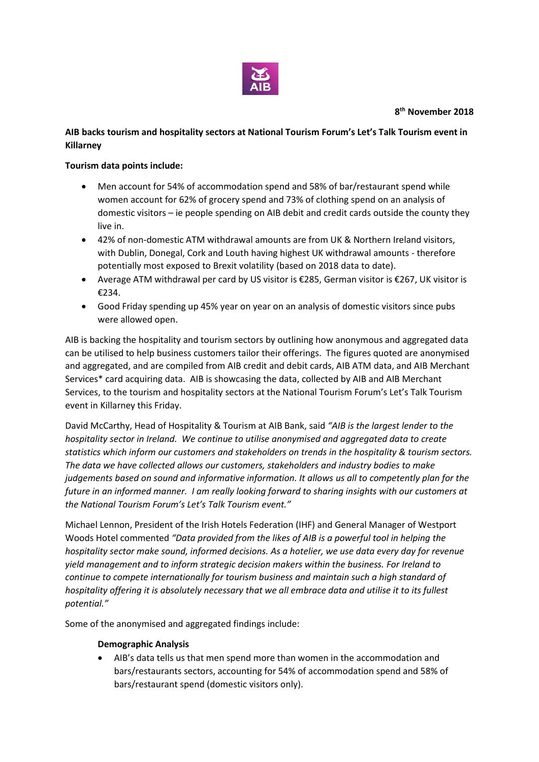

## **8 th November 2018**

# **AIB backs tourism and hospitality sectors at National Tourism Forum's Let's Talk Tourism event in Killarney**

### **Tourism data points include:**

- Men account for 54% of accommodation spend and 58% of bar/restaurant spend while women account for 62% of grocery spend and 73% of clothing spend on an analysis of domestic visitors – ie people spending on AIB debit and credit cards outside the county they live in.
- 42% of non-domestic ATM withdrawal amounts are from UK & Northern Ireland visitors, with Dublin, Donegal, Cork and Louth having highest UK withdrawal amounts - therefore potentially most exposed to Brexit volatility (based on 2018 data to date).
- Average ATM withdrawal per card by US visitor is €285, German visitor is €267, UK visitor is €234.
- Good Friday spending up 45% year on year on an analysis of domestic visitors since pubs were allowed open.

AIB is backing the hospitality and tourism sectors by outlining how anonymous and aggregated data can be utilised to help business customers tailor their offerings. The figures quoted are anonymised and aggregated, and are compiled from AIB credit and debit cards, AIB ATM data, and AIB Merchant Services\* card acquiring data. AIB is showcasing the data, collected by AIB and AIB Merchant Services, to the tourism and hospitality sectors at the National Tourism Forum's Let's Talk Tourism event in Killarney this Friday.

David McCarthy, Head of Hospitality & Tourism at AIB Bank, said *"AIB is the largest lender to the hospitality sector in Ireland. We continue to utilise anonymised and aggregated data to create statistics which inform our customers and stakeholders on trends in the hospitality & tourism sectors. The data we have collected allows our customers, stakeholders and industry bodies to make judgements based on sound and informative information. It allows us all to competently plan for the future in an informed manner. I am really looking forward to sharing insights with our customers at the National Tourism Forum's Let's Talk Tourism event."*

Michael Lennon, President of the Irish Hotels Federation (IHF) and General Manager of Westport Woods Hotel commented *"Data provided from the likes of AIB is a powerful tool in helping the hospitality sector make sound, informed decisions. As a hotelier, we use data every day for revenue yield management and to inform strategic decision makers within the business. For Ireland to continue to compete internationally for tourism business and maintain such a high standard of hospitality offering it is absolutely necessary that we all embrace data and utilise it to its fullest potential."*

Some of the anonymised and aggregated findings include:

### **Demographic Analysis**

 AIB's data tells us that men spend more than women in the accommodation and bars/restaurants sectors, accounting for 54% of accommodation spend and 58% of bars/restaurant spend (domestic visitors only).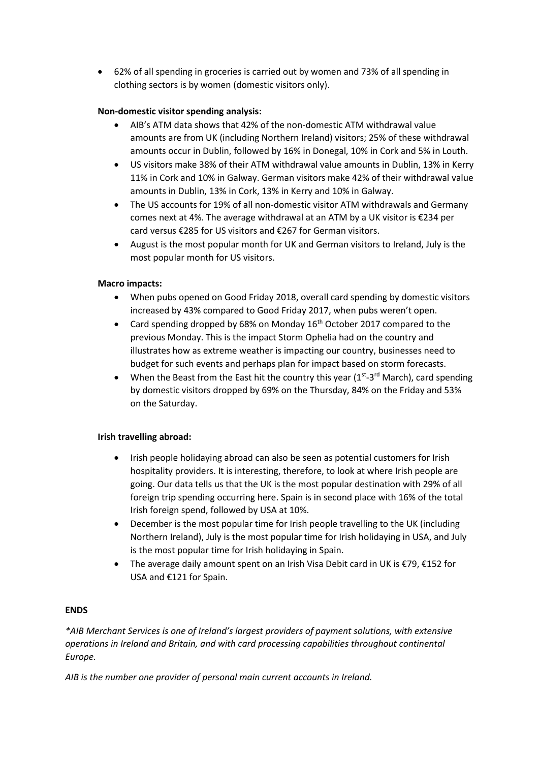62% of all spending in groceries is carried out by women and 73% of all spending in clothing sectors is by women (domestic visitors only).

## **Non-domestic visitor spending analysis:**

- AIB's ATM data shows that 42% of the non-domestic ATM withdrawal value amounts are from UK (including Northern Ireland) visitors; 25% of these withdrawal amounts occur in Dublin, followed by 16% in Donegal, 10% in Cork and 5% in Louth.
- US visitors make 38% of their ATM withdrawal value amounts in Dublin, 13% in Kerry 11% in Cork and 10% in Galway. German visitors make 42% of their withdrawal value amounts in Dublin, 13% in Cork, 13% in Kerry and 10% in Galway.
- The US accounts for 19% of all non-domestic visitor ATM withdrawals and Germany comes next at 4%. The average withdrawal at an ATM by a UK visitor is €234 per card versus €285 for US visitors and €267 for German visitors.
- August is the most popular month for UK and German visitors to Ireland, July is the most popular month for US visitors.

### **Macro impacts:**

- When pubs opened on Good Friday 2018, overall card spending by domestic visitors increased by 43% compared to Good Friday 2017, when pubs weren't open.
- Card spending dropped by 68% on Monday 16<sup>th</sup> October 2017 compared to the previous Monday. This is the impact Storm Ophelia had on the country and illustrates how as extreme weather is impacting our country, businesses need to budget for such events and perhaps plan for impact based on storm forecasts.
- When the Beast from the East hit the country this year  $(1<sup>st</sup>-3<sup>rd</sup> March)$ , card spending by domestic visitors dropped by 69% on the Thursday, 84% on the Friday and 53% on the Saturday.

### **Irish travelling abroad:**

- Irish people holidaying abroad can also be seen as potential customers for Irish hospitality providers. It is interesting, therefore, to look at where Irish people are going. Our data tells us that the UK is the most popular destination with 29% of all foreign trip spending occurring here. Spain is in second place with 16% of the total Irish foreign spend, followed by USA at 10%.
- December is the most popular time for Irish people travelling to the UK (including Northern Ireland), July is the most popular time for Irish holidaying in USA, and July is the most popular time for Irish holidaying in Spain.
- The average daily amount spent on an Irish Visa Debit card in UK is €79, €152 for USA and €121 for Spain.

### **ENDS**

*\*AIB Merchant Services is one of Ireland's largest providers of payment solutions, with extensive operations in Ireland and Britain, and with card processing capabilities throughout continental Europe.* 

*AIB is the number one provider of personal main current accounts in Ireland.*